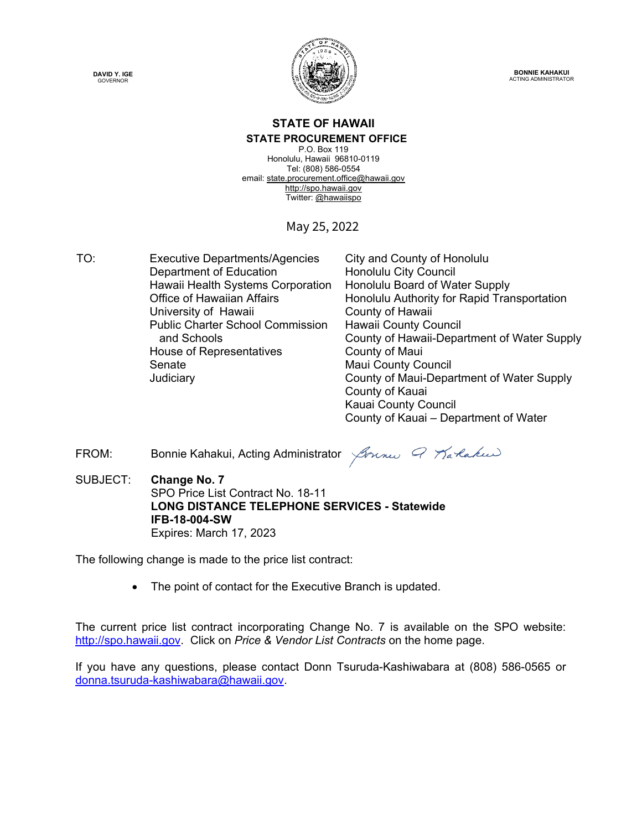



**BONNIE KAHAKUI** ACTING ADMINISTRATOR

### **STATE OF HAWAII STATE PROCUREMENT OFFICE**

P.O. Box 119 Honolulu, Hawaii 96810-0119 Tel: (808) 586-0554 email[: state.procurement.office@hawaii.gov](mailto:state.procurement.office@hawaii.gov)  [http://spo.hawaii.gov](http://spo.hawaii.gov/)  Twitter: [@hawaiispo](https://twitter.com/hawaiispo) 

# May 25, 2022

TO: Executive Departments/Agencies City and County of Honolulu Department of Education Honolulu City Council Hawaii Health Systems Corporation Honolulu Board of Water Supply University of Hawaii **County of Hawaii** Public Charter School Commission and Schools House of Representatives **County of Maui** Senate Maui County Council

Office of Hawaiian Affairs Honolulu Authority for Rapid Transportation Hawaii County Council County of Hawaii-Department of Water Supply Judiciary County of Maui-Department of Water Supply County of Kauai Kauai County Council County of Kauai – Department of Water

FROM: Bonnie Kahakui, Acting Administrator  $\beta$ meru 9 Tarlakui

SUBJECT: **Change No. 7** SPO Price List Contract No. 18-11 **LONG DISTANCE TELEPHONE SERVICES - Statewide IFB-18-004-SW** Expires: March 17, 2023

The following change is made to the price list contract:

• The point of contact for the Executive Branch is updated.

The current price list contract incorporating Change No. 7 is available on the SPO website: [http://spo.hawaii.gov.](http://spo.hawaii.gov/) Click on *Price & Vendor List Contracts* on the home page.

If you have any questions, please contact Donn Tsuruda-Kashiwabara at (808) 586-0565 or [donna.tsuruda-kashiwabara@hawaii.gov.](mailto:donna.tsuruda-kashiwabara@hawaii.gov)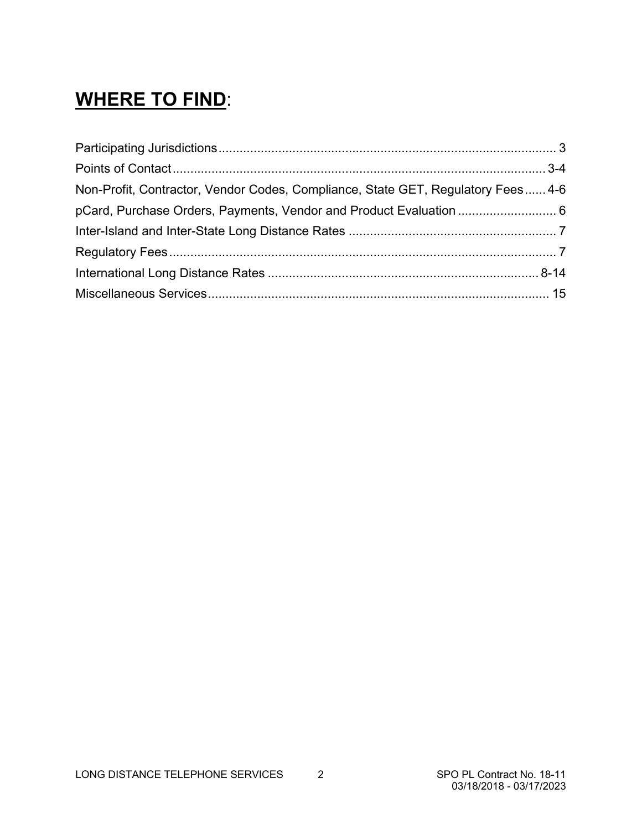# **WHERE TO FIND**:

| Non-Profit, Contractor, Vendor Codes, Compliance, State GET, Regulatory Fees 4-6 |  |
|----------------------------------------------------------------------------------|--|
| pCard, Purchase Orders, Payments, Vendor and Product Evaluation  6               |  |
|                                                                                  |  |
|                                                                                  |  |
|                                                                                  |  |
|                                                                                  |  |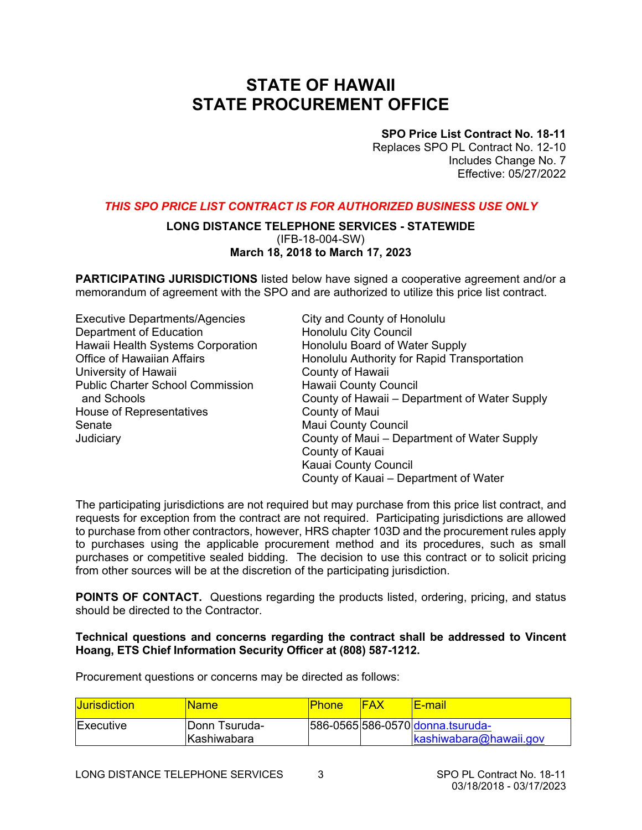# **STATE OF HAWAII STATE PROCUREMENT OFFICE**

## **SPO Price List Contract No. 18-11**

Replaces SPO PL Contract No. 12-10 Includes Change No. 7 Effective: 05/27/2022

### *THIS SPO PRICE LIST CONTRACT IS FOR AUTHORIZED BUSINESS USE ONLY*

### **LONG DISTANCE TELEPHONE SERVICES - STATEWIDE**  (IFB-18-004-SW) **March 18, 2018 to March 17, 2023**

**PARTICIPATING JURISDICTIONS** listed below have signed a cooperative agreement and/or a memorandum of agreement with the SPO and are authorized to utilize this price list contract.

| <b>Executive Departments/Agencies</b>   | City and County of Honolulu                  |
|-----------------------------------------|----------------------------------------------|
| Department of Education                 | <b>Honolulu City Council</b>                 |
| Hawaii Health Systems Corporation       | Honolulu Board of Water Supply               |
| <b>Office of Hawaiian Affairs</b>       | Honolulu Authority for Rapid Transportation  |
| University of Hawaii                    | County of Hawaii                             |
| <b>Public Charter School Commission</b> | <b>Hawaii County Council</b>                 |
| and Schools                             | County of Hawaii - Department of Water Suppl |
| House of Representatives                | County of Maui                               |
| Senate                                  | <b>Maui County Council</b>                   |
| Judiciary                               | County of Maui – Department of Water Supply  |
|                                         | County of Kauai                              |
|                                         | Kauai County Council                         |
|                                         | County of Kauai – Department of Water        |

The participating jurisdictions are not required but may purchase from this price list contract, and requests for exception from the contract are not required. Participating jurisdictions are allowed to purchase from other contractors, however, HRS chapter 103D and the procurement rules apply to purchases using the applicable procurement method and its procedures, such as small purchases or competitive sealed bidding. The decision to use this contract or to solicit pricing from other sources will be at the discretion of the participating jurisdiction.

**POINTS OF CONTACT.** Questions regarding the products listed, ordering, pricing, and status should be directed to the Contractor.

### **Technical questions and concerns regarding the contract shall be addressed to Vincent Hoang, ETS Chief Information Security Officer at (808) 587-1212.**

Procurement questions or concerns may be directed as follows:

| <b>Jurisdiction</b> | Name:                 | <b>Phone</b> | FAX | <u>lE-mail</u>                   |
|---------------------|-----------------------|--------------|-----|----------------------------------|
| <b>Executive</b>    | <b>IDonn Tsuruda-</b> |              |     | 586-0565 586-0570 donna tsuruda- |
|                     | <u>IKashiwabara</u>   |              |     | $kashi$ wabara@hawaii.gov        |

**Water Supply**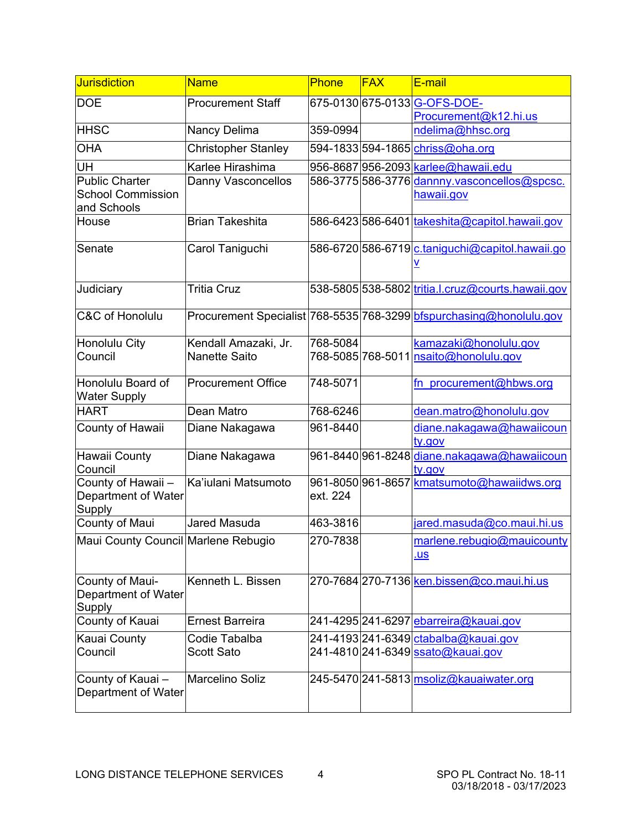| <b>Jurisdiction</b>                               | <b>Name</b>                | <b>Phone</b> | <b>FAX</b> | E-mail                                                              |
|---------------------------------------------------|----------------------------|--------------|------------|---------------------------------------------------------------------|
| <b>DOE</b>                                        | <b>Procurement Staff</b>   |              |            | 675-0130 675-0133 G-OFS-DOE-                                        |
|                                                   |                            |              |            | Procurement@k12.hi.us                                               |
| <b>HHSC</b>                                       | Nancy Delima               | 359-0994     |            | ndelima@hhsc.org                                                    |
| <b>OHA</b>                                        | <b>Christopher Stanley</b> |              |            | 594-1833 594-1865 chriss@oha.org                                    |
| UH                                                | Karlee Hirashima           |              |            | 956-8687 956-2093 karlee@hawaii.edu                                 |
| <b>Public Charter</b><br><b>School Commission</b> | Danny Vasconcellos         |              |            | 586-3775 586-3776 dannny vasconcellos@spcsc.                        |
| and Schools                                       |                            |              |            | hawaii.gov                                                          |
| House                                             | <b>Brian Takeshita</b>     |              |            | 586-6423 586-6401 takeshita@capitol.hawaii.gov                      |
| Senate                                            | Carol Taniguchi            |              |            | 586-6720 586-6719 c.taniquchi@capitol.hawaii.go                     |
|                                                   |                            |              |            |                                                                     |
| Judiciary                                         | <b>Tritia Cruz</b>         |              |            | 538-5805 538-5802 tritia.l.cruz@courts.hawaii.gov                   |
| <b>C&amp;C of Honolulu</b>                        |                            |              |            | Procurement Specialist 768-5535 768-3299 bfspurchasing@honolulu.gov |
| <b>Honolulu City</b>                              | Kendall Amazaki, Jr.       | 768-5084     |            | kamazaki@honolulu.gov                                               |
| Council                                           | Nanette Saito              |              |            | 768-5085 768-5011  <mark>nsaito@honolulu.gov</mark>                 |
| Honolulu Board of                                 | <b>Procurement Office</b>  | 748-5071     |            | fn procurement@hbws.org                                             |
| <b>Water Supply</b><br><b>HART</b>                | Dean Matro                 | 768-6246     |            | dean.matro@honolulu.gov                                             |
| County of Hawaii                                  | Diane Nakagawa             | 961-8440     |            | diane.nakagawa@hawaiicoun                                           |
|                                                   |                            |              |            | ty.gov                                                              |
| <b>Hawaii County</b><br>Council                   | Diane Nakagawa             |              |            | 961-8440 961-8248 diane.nakagawa@hawaiicoun<br>ty.gov               |
| County of Hawaii -                                | Ka'iulani Matsumoto        |              |            | 961-8050 961-8657 Kmatsumoto@hawaiidws.org                          |
| Department of Water                               |                            | ext. 224     |            |                                                                     |
| Supply<br>County of Maui                          | Jared Masuda               | 463-3816     |            | jared.masuda@co.maui.hi.us                                          |
| Maui County Council Marlene Rebugio               |                            | 270-7838     |            | marlene.rebugio@mauicounty                                          |
|                                                   |                            |              |            | <u>us</u>                                                           |
|                                                   |                            |              |            |                                                                     |
| County of Maui-<br>Department of Water            | Kenneth L. Bissen          |              |            | 270-7684 270-7136 ken.bissen@co.maui.hi.us                          |
| Supply                                            |                            |              |            |                                                                     |
| County of Kauai                                   | <b>Ernest Barreira</b>     |              |            | 241-4295 241-6297 <i>ebarreira@kauai.gov</i>                        |
| <b>Kauai County</b>                               | Codie Tabalba              |              |            | 241-4193 241-6349 ctabalba@kauai.gov                                |
| Council                                           | <b>Scott Sato</b>          |              |            | 241-4810 241-6349 ssato@kauai.gov                                   |
| County of Kauai-                                  | <b>Marcelino Soliz</b>     |              |            | 245-5470 241-5813 msoliz@kauaiwater.org                             |
| Department of Water                               |                            |              |            |                                                                     |
|                                                   |                            |              |            |                                                                     |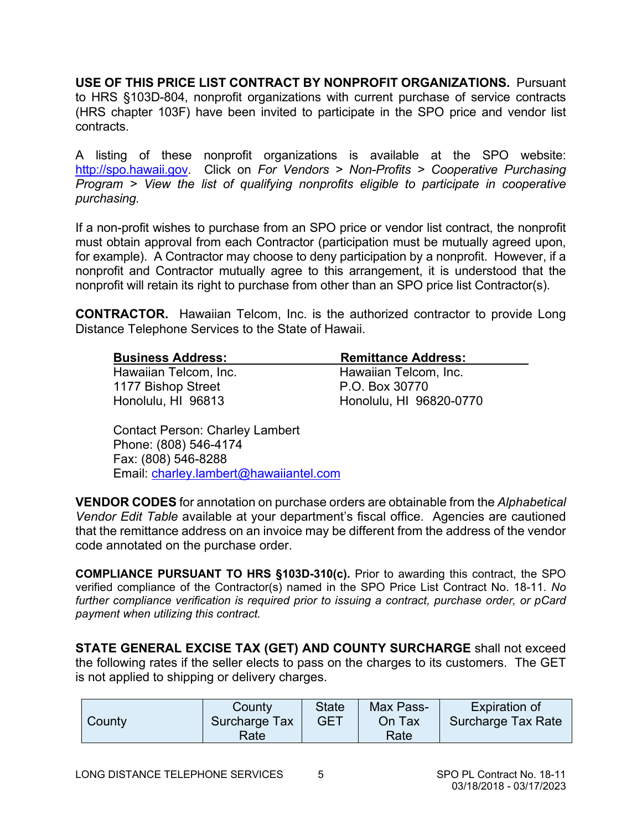**USE OF THIS PRICE LIST CONTRACT BY NONPROFIT ORGANIZATIONS.** Pursuant to HRS §103D-804, nonprofit organizations with current purchase of service contracts (HRS chapter 103F) have been invited to participate in the SPO price and vendor list contracts.

A listing of these nonprofit organizations is available at the SPO website: [http://spo.hawaii.gov.](http://spo.hawaii.gov/) Click on *For Vendors > Non-Profits > Cooperative Purchasing Program > View the list of qualifying nonprofits eligible to participate in cooperative purchasing.*

If a non-profit wishes to purchase from an SPO price or vendor list contract, the nonprofit must obtain approval from each Contractor (participation must be mutually agreed upon, for example). A Contractor may choose to deny participation by a nonprofit. However, if a nonprofit and Contractor mutually agree to this arrangement, it is understood that the nonprofit will retain its right to purchase from other than an SPO price list Contractor(s).

**CONTRACTOR.** Hawaiian Telcom, Inc. is the authorized contractor to provide Long Distance Telephone Services to the State of Hawaii.

| <b>Business Address:</b> | <b>Remittance Address:</b> |
|--------------------------|----------------------------|
| Hawaiian Telcom, Inc.    | Hawaiian Telcom, Inc.      |
| 1177 Bishop Street       | P.O. Box 30770             |
| Honolulu, HI 96813       | Honolulu, HI 96820-0770    |

Contact Person: Charley Lambert Phone: (808) 546-4174 Fax: (808) 546-8288 Email: [charley.lambert@hawaiiantel.com](mailto:charley.lambert@hawaiiantel.com)

**VENDOR CODES** for annotation on purchase orders are obtainable from the *Alphabetical Vendor Edit Table* available at your department's fiscal office. Agencies are cautioned that the remittance address on an invoice may be different from the address of the vendor code annotated on the purchase order.

**COMPLIANCE PURSUANT TO HRS §103D-310(c).** Prior to awarding this contract, the SPO verified compliance of the Contractor(s) named in the SPO Price List Contract No. 18-11. *No further compliance verification is required prior to issuing a contract, purchase order, or pCard payment when utilizing this contract.*

**STATE GENERAL EXCISE TAX (GET) AND COUNTY SURCHARGE** shall not exceed the following rates if the seller elects to pass on the charges to its customers. The GET is not applied to shipping or delivery charges.

|        | County        | <b>State</b> | Max Pass- | <b>Expiration of</b> |
|--------|---------------|--------------|-----------|----------------------|
| County | Surcharge Tax | GET          | On Tax    | Surcharge Tax Rate   |
|        | Rate          |              | Rate      |                      |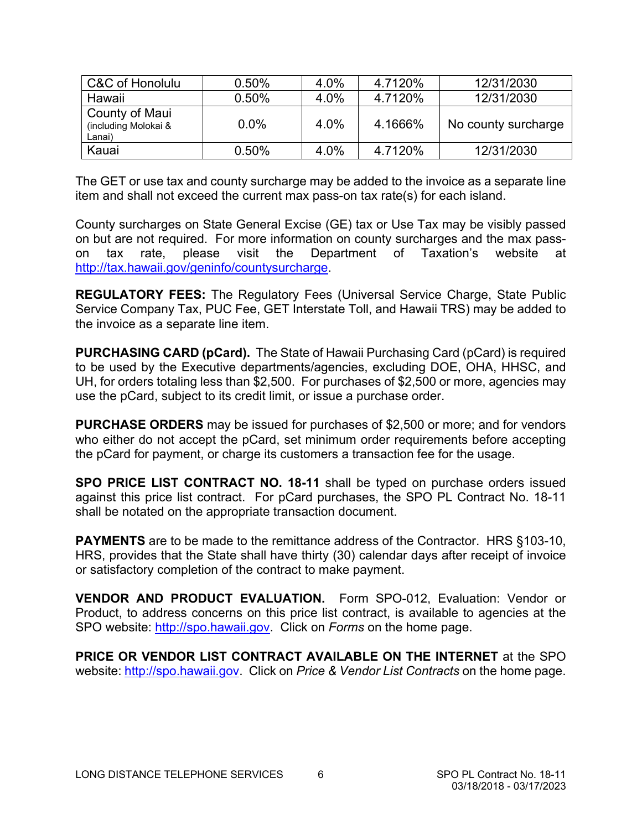| C&C of Honolulu                                  | 0.50%   | 4.0% | 4.7120% | 12/31/2030          |
|--------------------------------------------------|---------|------|---------|---------------------|
| Hawaii                                           | 0.50%   | 4.0% | 4.7120% | 12/31/2030          |
| County of Maui<br>(including Molokai &<br>Lanai) | $0.0\%$ | 4.0% | 4.1666% | No county surcharge |
| Kauai                                            | 0.50%   | 4.0% | 4.7120% | 12/31/2030          |

The GET or use tax and county surcharge may be added to the invoice as a separate line item and shall not exceed the current max pass-on tax rate(s) for each island.

County surcharges on State General Excise (GE) tax or Use Tax may be visibly passed on but are not required. For more information on county surcharges and the max passon tax rate, please visit the Department of Taxation's website at [http://tax.hawaii.gov/geninfo/countysurcharge.](http://tax.hawaii.gov/geninfo/countysurcharge)

**REGULATORY FEES:** The Regulatory Fees (Universal Service Charge, State Public Service Company Tax, PUC Fee, GET Interstate Toll, and Hawaii TRS) may be added to the invoice as a separate line item.

**PURCHASING CARD (pCard).** The State of Hawaii Purchasing Card (pCard) is required to be used by the Executive departments/agencies, excluding DOE, OHA, HHSC, and UH, for orders totaling less than \$2,500. For purchases of \$2,500 or more, agencies may use the pCard, subject to its credit limit, or issue a purchase order.

**PURCHASE ORDERS** may be issued for purchases of \$2,500 or more; and for vendors who either do not accept the pCard, set minimum order requirements before accepting the pCard for payment, or charge its customers a transaction fee for the usage.

**SPO PRICE LIST CONTRACT NO. 18-11** shall be typed on purchase orders issued against this price list contract. For pCard purchases, the SPO PL Contract No. 18-11 shall be notated on the appropriate transaction document.

**PAYMENTS** are to be made to the remittance address of the Contractor. HRS §103-10, HRS, provides that the State shall have thirty (30) calendar days after receipt of invoice or satisfactory completion of the contract to make payment.

**VENDOR AND PRODUCT EVALUATION.** Form SPO-012, Evaluation: Vendor or Product, to address concerns on this price list contract, is available to agencies at the SPO website: [http://spo.hawaii.gov.](http://spo.hawaii.gov/) Click on *Forms* on the home page.

**PRICE OR VENDOR LIST CONTRACT AVAILABLE ON THE INTERNET** at the SPO website: [http://spo.hawaii.gov.](http://spo.hawaii.gov/) Click on *Price & Vendor List Contracts* on the home page.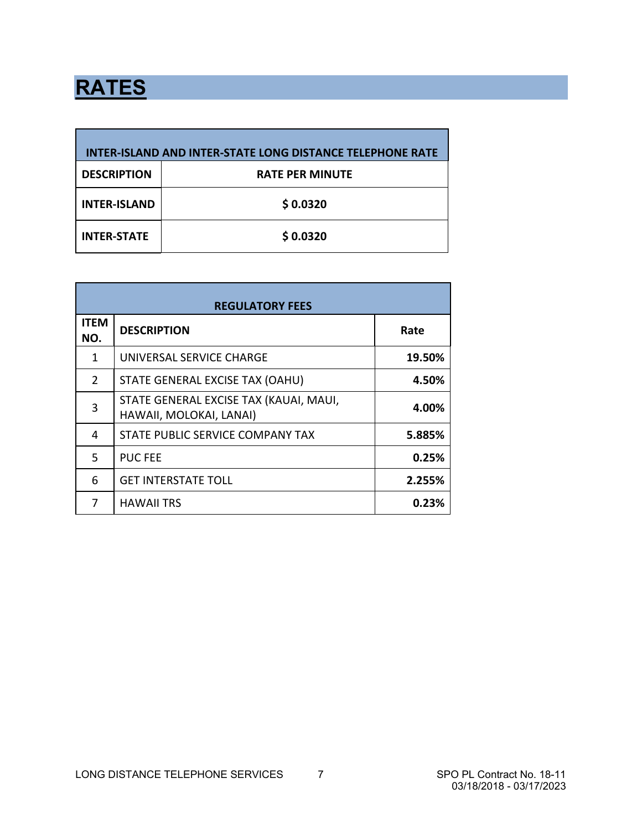# **RATES**

| <b>INTER-ISLAND AND INTER-STATE LONG DISTANCE TELEPHONE RATE</b> |                        |  |  |  |
|------------------------------------------------------------------|------------------------|--|--|--|
| <b>DESCRIPTION</b>                                               | <b>RATE PER MINUTE</b> |  |  |  |
| <b>INTER-ISLAND</b>                                              | \$0.0320               |  |  |  |
| <b>INTER-STATE</b>                                               | \$0.0320               |  |  |  |

| <b>REGULATORY FEES</b> |                                                                   |        |  |  |
|------------------------|-------------------------------------------------------------------|--------|--|--|
| <b>ITEM</b><br>NO.     | <b>DESCRIPTION</b>                                                | Rate   |  |  |
| 1                      | UNIVERSAL SERVICE CHARGE                                          | 19.50% |  |  |
| $\overline{2}$         | STATE GENERAL EXCISE TAX (OAHU)                                   | 4.50%  |  |  |
| 3                      | STATE GENERAL EXCISE TAX (KAUAI, MAUI,<br>HAWAII, MOLOKAI, LANAI) | 4.00%  |  |  |
| 4                      | STATE PUBLIC SERVICE COMPANY TAX                                  | 5.885% |  |  |
| 5                      | <b>PUC FEE</b>                                                    | 0.25%  |  |  |
| 6                      | <b>GET INTERSTATE TOLL</b>                                        | 2.255% |  |  |
|                        | <b>HAWAII TRS</b>                                                 | 0.23%  |  |  |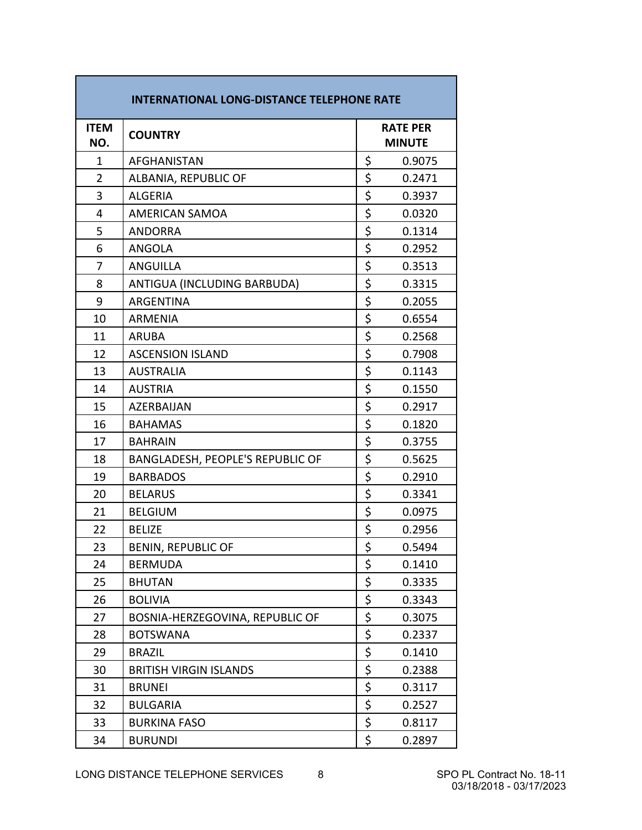| <b>INTERNATIONAL LONG-DISTANCE TELEPHONE RATE</b> |                                  |    |                                  |  |
|---------------------------------------------------|----------------------------------|----|----------------------------------|--|
| <b>ITEM</b><br>NO.                                | <b>COUNTRY</b>                   |    | <b>RATE PER</b><br><b>MINUTE</b> |  |
| 1                                                 | AFGHANISTAN                      | \$ | 0.9075                           |  |
| $\overline{2}$                                    | ALBANIA, REPUBLIC OF             | \$ | 0.2471                           |  |
| 3                                                 | <b>ALGERIA</b>                   | \$ | 0.3937                           |  |
| 4                                                 | AMERICAN SAMOA                   | \$ | 0.0320                           |  |
| 5                                                 | <b>ANDORRA</b>                   | \$ | 0.1314                           |  |
| 6                                                 | <b>ANGOLA</b>                    | \$ | 0.2952                           |  |
| 7                                                 | <b>ANGUILLA</b>                  | \$ | 0.3513                           |  |
| 8                                                 | ANTIGUA (INCLUDING BARBUDA)      | \$ | 0.3315                           |  |
| 9                                                 | <b>ARGENTINA</b>                 | \$ | 0.2055                           |  |
| 10                                                | <b>ARMENIA</b>                   | \$ | 0.6554                           |  |
| 11                                                | <b>ARUBA</b>                     | \$ | 0.2568                           |  |
| 12                                                | <b>ASCENSION ISLAND</b>          | \$ | 0.7908                           |  |
| 13                                                | <b>AUSTRALIA</b>                 | \$ | 0.1143                           |  |
| 14                                                | <b>AUSTRIA</b>                   | \$ | 0.1550                           |  |
| 15                                                | AZERBAIJAN                       | \$ | 0.2917                           |  |
| 16                                                | <b>BAHAMAS</b>                   | \$ | 0.1820                           |  |
| 17                                                | <b>BAHRAIN</b>                   | \$ | 0.3755                           |  |
| 18                                                | BANGLADESH, PEOPLE'S REPUBLIC OF | \$ | 0.5625                           |  |
| 19                                                | <b>BARBADOS</b>                  | \$ | 0.2910                           |  |
| 20                                                | <b>BELARUS</b>                   | \$ | 0.3341                           |  |
| 21                                                | <b>BELGIUM</b>                   | \$ | 0.0975                           |  |
| 22                                                | <b>BELIZE</b>                    | \$ | 0.2956                           |  |
| 23                                                | <b>BENIN, REPUBLIC OF</b>        | \$ | 0.5494                           |  |
| 24                                                | <b>BERMUDA</b>                   | \$ | 0.1410                           |  |
| 25                                                | <b>BHUTAN</b>                    | \$ | 0.3335                           |  |
| 26                                                | <b>BOLIVIA</b>                   | \$ | 0.3343                           |  |
| 27                                                | BOSNIA-HERZEGOVINA, REPUBLIC OF  | \$ | 0.3075                           |  |
| 28                                                | <b>BOTSWANA</b>                  | \$ | 0.2337                           |  |
| 29                                                | <b>BRAZIL</b>                    | \$ | 0.1410                           |  |
| 30                                                | <b>BRITISH VIRGIN ISLANDS</b>    | \$ | 0.2388                           |  |
| 31                                                | <b>BRUNEI</b>                    | \$ | 0.3117                           |  |
| 32                                                | <b>BULGARIA</b>                  | \$ | 0.2527                           |  |
| 33                                                | <b>BURKINA FASO</b>              | \$ | 0.8117                           |  |
| 34                                                | <b>BURUNDI</b>                   | \$ | 0.2897                           |  |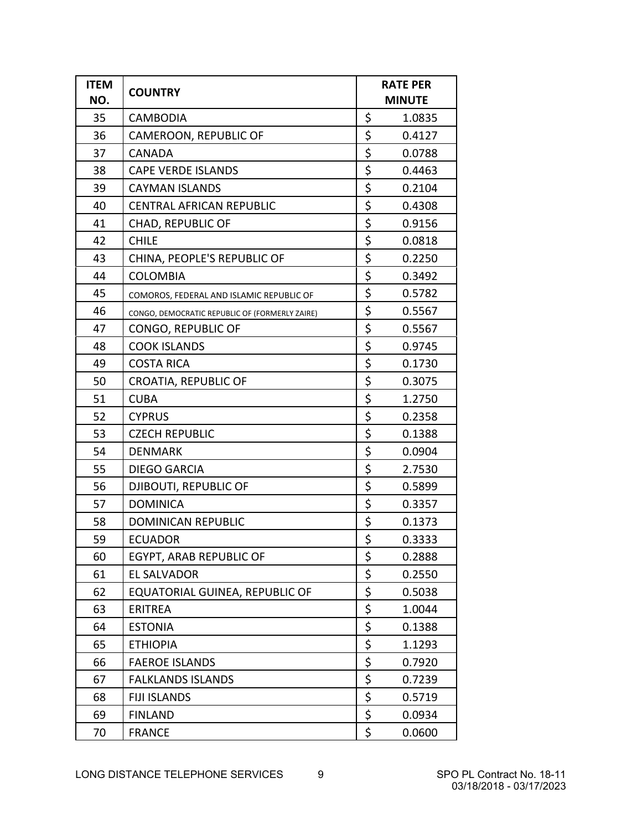| <b>ITEM</b><br>NO. | <b>COUNTRY</b>                                 | <b>RATE PER</b><br><b>MINUTE</b> |        |
|--------------------|------------------------------------------------|----------------------------------|--------|
| 35                 | <b>CAMBODIA</b>                                | \$                               | 1.0835 |
| 36                 | CAMEROON, REPUBLIC OF                          | \$                               | 0.4127 |
| 37                 | <b>CANADA</b>                                  | \$                               | 0.0788 |
| 38                 | <b>CAPE VERDE ISLANDS</b>                      | \$                               | 0.4463 |
| 39                 | <b>CAYMAN ISLANDS</b>                          | \$                               | 0.2104 |
| 40                 | <b>CENTRAL AFRICAN REPUBLIC</b>                | \$                               | 0.4308 |
| 41                 | <b>CHAD, REPUBLIC OF</b>                       | \$                               | 0.9156 |
| 42                 | <b>CHILE</b>                                   | \$                               | 0.0818 |
| 43                 | CHINA, PEOPLE'S REPUBLIC OF                    | \$                               | 0.2250 |
| 44                 | <b>COLOMBIA</b>                                | \$                               | 0.3492 |
| 45                 | COMOROS, FEDERAL AND ISLAMIC REPUBLIC OF       | \$                               | 0.5782 |
| 46                 | CONGO, DEMOCRATIC REPUBLIC OF (FORMERLY ZAIRE) | \$                               | 0.5567 |
| 47                 | CONGO, REPUBLIC OF                             | \$                               | 0.5567 |
| 48                 | <b>COOK ISLANDS</b>                            | \$                               | 0.9745 |
| 49                 | <b>COSTA RICA</b>                              | \$                               | 0.1730 |
| 50                 | <b>CROATIA, REPUBLIC OF</b>                    | \$                               | 0.3075 |
| 51                 | <b>CUBA</b>                                    | \$                               | 1.2750 |
| 52                 | <b>CYPRUS</b>                                  | \$                               | 0.2358 |
| 53                 | <b>CZECH REPUBLIC</b>                          | \$                               | 0.1388 |
| 54                 | <b>DENMARK</b>                                 | \$                               | 0.0904 |
| 55                 | <b>DIEGO GARCIA</b>                            | \$                               | 2.7530 |
| 56                 | DJIBOUTI, REPUBLIC OF                          | \$                               | 0.5899 |
| 57                 | <b>DOMINICA</b>                                | \$                               | 0.3357 |
| 58                 | <b>DOMINICAN REPUBLIC</b>                      | \$                               | 0.1373 |
| 59                 | <b>ECUADOR</b>                                 | \$                               | 0.3333 |
| 60                 | EGYPT, ARAB REPUBLIC OF                        | \$                               | 0.2888 |
| 61                 | EL SALVADOR                                    | \$                               | 0.2550 |
| 62                 | EQUATORIAL GUINEA, REPUBLIC OF                 | \$                               | 0.5038 |
| 63                 | <b>ERITREA</b>                                 | \$                               | 1.0044 |
| 64                 | <b>ESTONIA</b>                                 | \$                               | 0.1388 |
| 65                 | <b>ETHIOPIA</b>                                | \$                               | 1.1293 |
| 66                 | <b>FAEROE ISLANDS</b>                          | \$                               | 0.7920 |
| 67                 | <b>FALKLANDS ISLANDS</b>                       | \$                               | 0.7239 |
| 68                 | <b>FIJI ISLANDS</b>                            | \$                               | 0.5719 |
| 69                 | <b>FINLAND</b>                                 | \$                               | 0.0934 |
| 70                 | <b>FRANCE</b>                                  | \$                               | 0.0600 |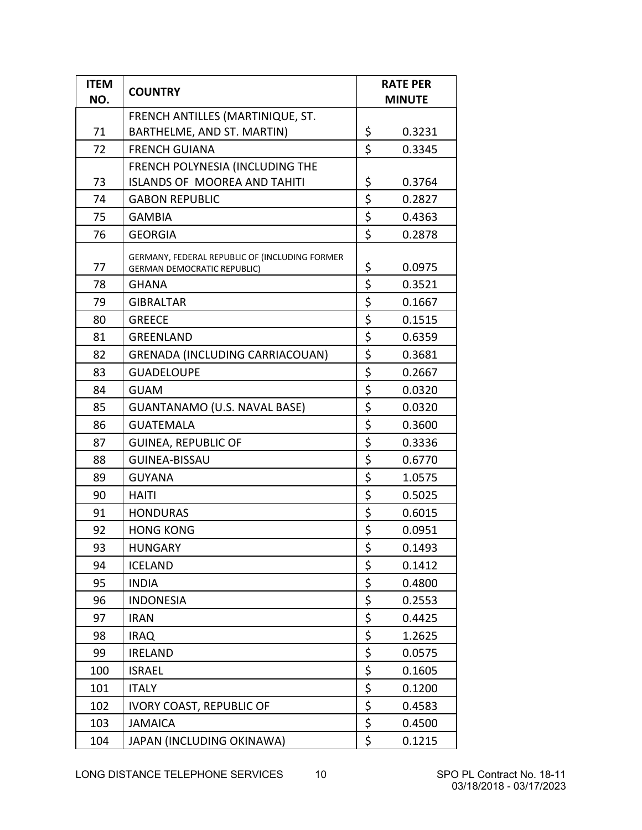| <b>ITEM</b><br>NO. | <b>COUNTRY</b>                                                                       | <b>RATE PER</b><br><b>MINUTE</b> |  |
|--------------------|--------------------------------------------------------------------------------------|----------------------------------|--|
|                    | FRENCH ANTILLES (MARTINIQUE, ST.                                                     |                                  |  |
| 71                 | BARTHELME, AND ST. MARTIN)                                                           | \$<br>0.3231                     |  |
| 72                 | <b>FRENCH GUIANA</b>                                                                 | \$<br>0.3345                     |  |
|                    | FRENCH POLYNESIA (INCLUDING THE                                                      |                                  |  |
| 73                 | <b>ISLANDS OF MOOREA AND TAHITI</b>                                                  | \$<br>0.3764                     |  |
| 74                 | <b>GABON REPUBLIC</b>                                                                | \$<br>0.2827                     |  |
| 75                 | <b>GAMBIA</b>                                                                        | \$<br>0.4363                     |  |
| 76                 | <b>GEORGIA</b>                                                                       | \$<br>0.2878                     |  |
| 77                 | GERMANY, FEDERAL REPUBLIC OF (INCLUDING FORMER<br><b>GERMAN DEMOCRATIC REPUBLIC)</b> | \$<br>0.0975                     |  |
| 78                 | <b>GHANA</b>                                                                         | \$<br>0.3521                     |  |
| 79                 | <b>GIBRALTAR</b>                                                                     | \$<br>0.1667                     |  |
| 80                 | <b>GREECE</b>                                                                        | \$<br>0.1515                     |  |
| 81                 | <b>GREENLAND</b>                                                                     | \$<br>0.6359                     |  |
| 82                 | <b>GRENADA (INCLUDING CARRIACOUAN)</b>                                               | \$<br>0.3681                     |  |
| 83                 | <b>GUADELOUPE</b>                                                                    | \$<br>0.2667                     |  |
| 84                 | <b>GUAM</b>                                                                          | \$<br>0.0320                     |  |
| 85                 | GUANTANAMO (U.S. NAVAL BASE)                                                         | \$<br>0.0320                     |  |
| 86                 | <b>GUATEMALA</b>                                                                     | \$<br>0.3600                     |  |
| 87                 | <b>GUINEA, REPUBLIC OF</b>                                                           | \$<br>0.3336                     |  |
| 88                 | <b>GUINEA-BISSAU</b>                                                                 | \$<br>0.6770                     |  |
| 89                 | <b>GUYANA</b>                                                                        | \$<br>1.0575                     |  |
| 90                 | <b>HAITI</b>                                                                         | \$<br>0.5025                     |  |
| 91                 | <b>HONDURAS</b>                                                                      | \$<br>0.6015                     |  |
| 92                 | <b>HONG KONG</b>                                                                     | \$<br>0.0951                     |  |
| 93                 | <b>HUNGARY</b>                                                                       | \$<br>0.1493                     |  |
| 94                 | <b>ICELAND</b>                                                                       | \$<br>0.1412                     |  |
| 95                 | <b>INDIA</b>                                                                         | \$<br>0.4800                     |  |
| 96                 | <b>INDONESIA</b>                                                                     | \$<br>0.2553                     |  |
| 97                 | <b>IRAN</b>                                                                          | \$<br>0.4425                     |  |
| 98                 | <b>IRAQ</b>                                                                          | \$<br>1.2625                     |  |
| 99                 | <b>IRELAND</b>                                                                       | \$<br>0.0575                     |  |
| 100                | <b>ISRAEL</b>                                                                        | \$<br>0.1605                     |  |
| 101                | <b>ITALY</b>                                                                         | \$<br>0.1200                     |  |
| 102                | <b>IVORY COAST, REPUBLIC OF</b>                                                      | \$<br>0.4583                     |  |
| 103                | <b>JAMAICA</b>                                                                       | \$<br>0.4500                     |  |
| 104                | JAPAN (INCLUDING OKINAWA)                                                            | \$<br>0.1215                     |  |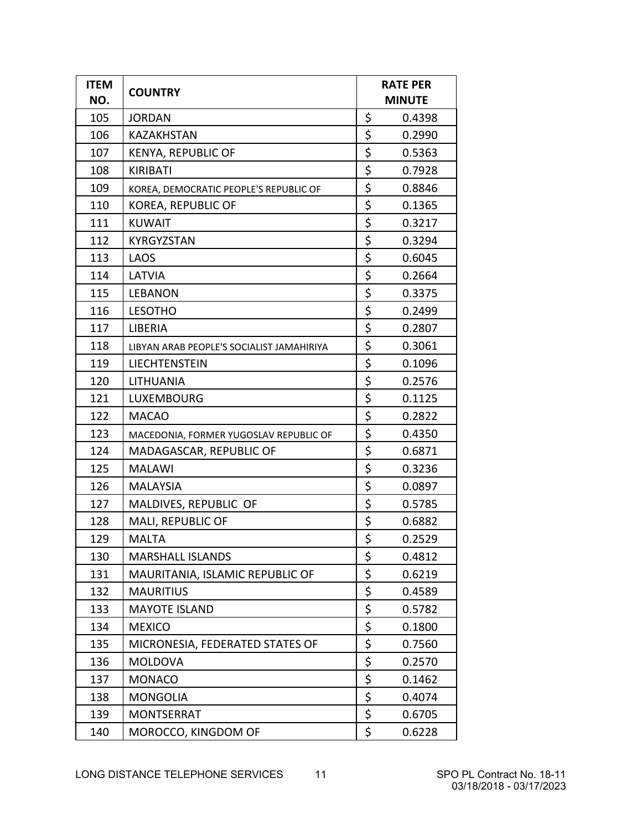| <b>ITEM</b><br>NO. | <b>COUNTRY</b>                            | <b>RATE PER</b><br><b>MINUTE</b> |        |
|--------------------|-------------------------------------------|----------------------------------|--------|
| 105                | <b>JORDAN</b>                             | \$                               | 0.4398 |
| 106                | <b>KAZAKHSTAN</b>                         | \$                               | 0.2990 |
| 107                | KENYA, REPUBLIC OF                        | \$                               | 0.5363 |
| 108                | KIRIBATI                                  | \$                               | 0.7928 |
| 109                | KOREA, DEMOCRATIC PEOPLE'S REPUBLIC OF    | \$                               | 0.8846 |
| 110                | <b>KOREA, REPUBLIC OF</b>                 | \$                               | 0.1365 |
| 111                | <b>KUWAIT</b>                             | \$                               | 0.3217 |
| 112                | <b>KYRGYZSTAN</b>                         | \$                               | 0.3294 |
| 113                | LAOS                                      | \$                               | 0.6045 |
| 114                | LATVIA                                    | \$                               | 0.2664 |
| 115                | <b>LEBANON</b>                            | \$                               | 0.3375 |
| 116                | <b>LESOTHO</b>                            | \$                               | 0.2499 |
| 117                | LIBERIA                                   | \$                               | 0.2807 |
| 118                | LIBYAN ARAB PEOPLE'S SOCIALIST JAMAHIRIYA | \$                               | 0.3061 |
| 119                | LIECHTENSTEIN                             | \$                               | 0.1096 |
| 120                | LITHUANIA                                 | \$                               | 0.2576 |
| 121                | <b>LUXEMBOURG</b>                         | \$                               | 0.1125 |
| 122                | <b>MACAO</b>                              | \$                               | 0.2822 |
| 123                | MACEDONIA, FORMER YUGOSLAV REPUBLIC OF    | \$                               | 0.4350 |
| 124                | MADAGASCAR, REPUBLIC OF                   | \$                               | 0.6871 |
| 125                | <b>MALAWI</b>                             | \$                               | 0.3236 |
| 126                | <b>MALAYSIA</b>                           | \$                               | 0.0897 |
| 127                | MALDIVES, REPUBLIC OF                     | \$                               | 0.5785 |
| 128                | MALI, REPUBLIC OF                         | \$                               | 0.6882 |
| 129                | <b>MALTA</b>                              | \$                               | 0.2529 |
| 130                | <b>MARSHALL ISLANDS</b>                   | \$                               | 0.4812 |
| 131                | MAURITANIA, ISLAMIC REPUBLIC OF           | \$                               | 0.6219 |
| 132                | <b>MAURITIUS</b>                          | \$                               | 0.4589 |
| 133                | <b>MAYOTE ISLAND</b>                      | \$                               | 0.5782 |
| 134                | <b>MEXICO</b>                             | \$                               | 0.1800 |
| 135                | MICRONESIA, FEDERATED STATES OF           | \$                               | 0.7560 |
| 136                | <b>MOLDOVA</b>                            | \$                               | 0.2570 |
| 137                | <b>MONACO</b>                             | \$                               | 0.1462 |
| 138                | <b>MONGOLIA</b>                           | \$                               | 0.4074 |
| 139                | <b>MONTSERRAT</b>                         | \$                               | 0.6705 |
| 140                | MOROCCO, KINGDOM OF                       | \$                               | 0.6228 |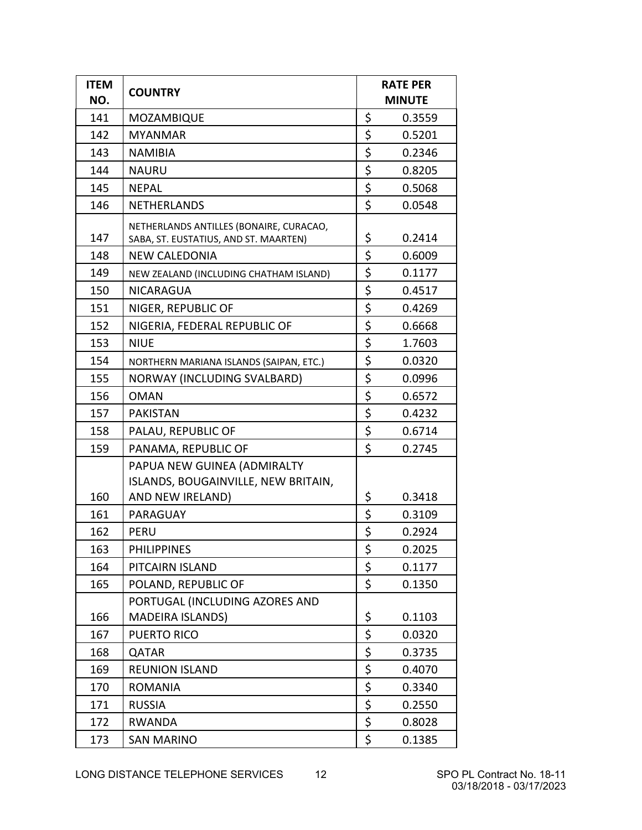| <b>ITEM</b><br>NO. | <b>COUNTRY</b>                                                                   | <b>RATE PER</b><br><b>MINUTE</b> |        |
|--------------------|----------------------------------------------------------------------------------|----------------------------------|--------|
| 141                | MOZAMBIQUE                                                                       | \$                               | 0.3559 |
| 142                | <b>MYANMAR</b>                                                                   | \$                               | 0.5201 |
| 143                | <b>NAMIBIA</b>                                                                   | \$                               | 0.2346 |
| 144                | <b>NAURU</b>                                                                     | \$                               | 0.8205 |
| 145                | <b>NEPAL</b>                                                                     | \$                               | 0.5068 |
| 146                | <b>NETHERLANDS</b>                                                               | \$                               | 0.0548 |
| 147                | NETHERLANDS ANTILLES (BONAIRE, CURACAO,<br>SABA, ST. EUSTATIUS, AND ST. MAARTEN) | \$                               | 0.2414 |
| 148                | <b>NEW CALEDONIA</b>                                                             | \$                               | 0.6009 |
| 149                | NEW ZEALAND (INCLUDING CHATHAM ISLAND)                                           | \$                               | 0.1177 |
| 150                | <b>NICARAGUA</b>                                                                 | \$                               | 0.4517 |
| 151                | NIGER, REPUBLIC OF                                                               | \$                               | 0.4269 |
| 152                | NIGERIA, FEDERAL REPUBLIC OF                                                     | \$                               | 0.6668 |
| 153                | <b>NIUE</b>                                                                      | \$                               | 1.7603 |
| 154                | NORTHERN MARIANA ISLANDS (SAIPAN, ETC.)                                          | \$                               | 0.0320 |
| 155                | NORWAY (INCLUDING SVALBARD)                                                      | \$                               | 0.0996 |
| 156                | <b>OMAN</b>                                                                      | \$                               | 0.6572 |
| 157                | <b>PAKISTAN</b>                                                                  | \$                               | 0.4232 |
| 158                | PALAU, REPUBLIC OF                                                               | \$                               | 0.6714 |
| 159                | PANAMA, REPUBLIC OF                                                              | \$                               | 0.2745 |
|                    | PAPUA NEW GUINEA (ADMIRALTY                                                      |                                  |        |
|                    | ISLANDS, BOUGAINVILLE, NEW BRITAIN,                                              |                                  |        |
| 160                | AND NEW IRELAND)                                                                 | \$                               | 0.3418 |
| 161                | PARAGUAY                                                                         | \$                               | 0.3109 |
| 162                | <b>PERU</b>                                                                      | \$                               | 0.2924 |
| 163                | <b>PHILIPPINES</b>                                                               | \$                               | 0.2025 |
| 164                | PITCAIRN ISLAND                                                                  | \$                               | 0.1177 |
| 165                | POLAND, REPUBLIC OF                                                              | \$                               | 0.1350 |
|                    | PORTUGAL (INCLUDING AZORES AND                                                   |                                  |        |
| 166                | MADEIRA ISLANDS)                                                                 | \$                               | 0.1103 |
| 167                | <b>PUERTO RICO</b>                                                               | \$                               | 0.0320 |
| 168                | QATAR                                                                            | \$                               | 0.3735 |
| 169                | <b>REUNION ISLAND</b>                                                            | \$                               | 0.4070 |
| 170                | <b>ROMANIA</b>                                                                   | \$                               | 0.3340 |
| 171                | <b>RUSSIA</b>                                                                    | \$                               | 0.2550 |
| 172                | <b>RWANDA</b>                                                                    | \$                               | 0.8028 |
| 173                | <b>SAN MARINO</b>                                                                | \$                               | 0.1385 |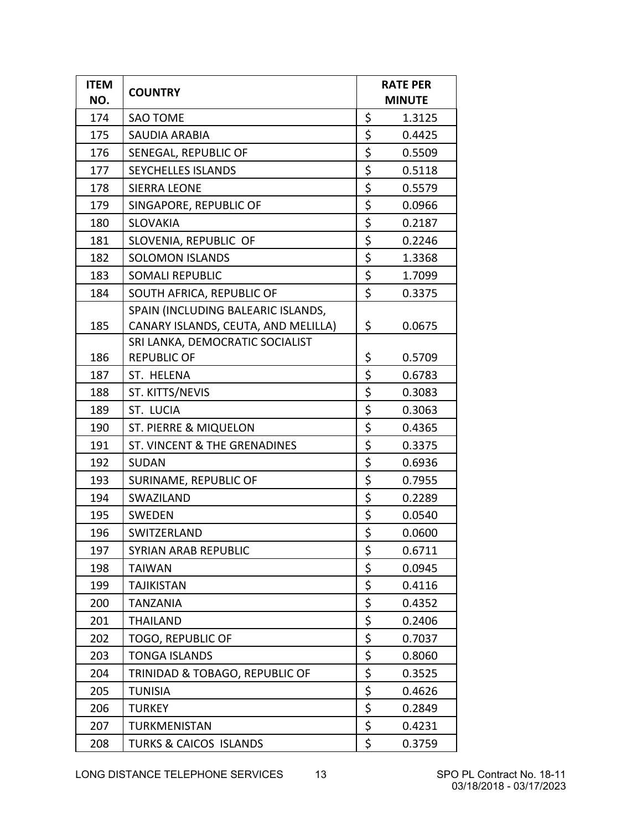| <b>ITEM</b><br>NO. | <b>COUNTRY</b>                                                            | <b>RATE PER</b><br><b>MINUTE</b> |        |
|--------------------|---------------------------------------------------------------------------|----------------------------------|--------|
| 174                | <b>SAO TOME</b>                                                           | \$                               | 1.3125 |
| 175                | SAUDIA ARABIA                                                             | \$                               | 0.4425 |
| 176                | SENEGAL, REPUBLIC OF                                                      | \$                               | 0.5509 |
| 177                | <b>SEYCHELLES ISLANDS</b>                                                 | \$                               | 0.5118 |
| 178                | <b>SIERRA LEONE</b>                                                       | \$                               | 0.5579 |
| 179                | SINGAPORE, REPUBLIC OF                                                    | \$                               | 0.0966 |
| 180                | <b>SLOVAKIA</b>                                                           | \$                               | 0.2187 |
| 181                | SLOVENIA, REPUBLIC OF                                                     | \$                               | 0.2246 |
| 182                | <b>SOLOMON ISLANDS</b>                                                    | \$                               | 1.3368 |
| 183                | <b>SOMALI REPUBLIC</b>                                                    | \$                               | 1.7099 |
| 184                | SOUTH AFRICA, REPUBLIC OF                                                 | \$                               | 0.3375 |
| 185                | SPAIN (INCLUDING BALEARIC ISLANDS,<br>CANARY ISLANDS, CEUTA, AND MELILLA) | \$                               | 0.0675 |
| 186                | SRI LANKA, DEMOCRATIC SOCIALIST<br><b>REPUBLIC OF</b>                     | \$                               | 0.5709 |
| 187                | ST. HELENA                                                                | \$                               | 0.6783 |
| 188                | ST. KITTS/NEVIS                                                           | \$                               | 0.3083 |
| 189                | ST. LUCIA                                                                 | \$                               | 0.3063 |
| 190                | <b>ST. PIERRE &amp; MIQUELON</b>                                          | \$                               | 0.4365 |
| 191                | ST. VINCENT & THE GRENADINES                                              | \$                               | 0.3375 |
| 192                | <b>SUDAN</b>                                                              | \$                               | 0.6936 |
| 193                | SURINAME, REPUBLIC OF                                                     | \$                               | 0.7955 |
| 194                | SWAZILAND                                                                 | \$                               | 0.2289 |
| 195                | <b>SWEDEN</b>                                                             | \$                               | 0.0540 |
| 196                | SWITZERLAND                                                               | \$                               | 0.0600 |
| 197                | <b>SYRIAN ARAB REPUBLIC</b>                                               | \$                               | 0.6711 |
| 198                | <b>TAIWAN</b>                                                             | \$                               | 0.0945 |
| 199                | <b>TAJIKISTAN</b>                                                         | \$                               | 0.4116 |
| 200                | <b>TANZANIA</b>                                                           | \$                               | 0.4352 |
| 201                | <b>THAILAND</b>                                                           | \$                               | 0.2406 |
| 202                | <b>TOGO, REPUBLIC OF</b>                                                  | \$                               | 0.7037 |
| 203                | <b>TONGA ISLANDS</b>                                                      | \$                               | 0.8060 |
| 204                | TRINIDAD & TOBAGO, REPUBLIC OF                                            | \$                               | 0.3525 |
| 205                | <b>TUNISIA</b>                                                            | \$                               | 0.4626 |
| 206                | <b>TURKEY</b>                                                             | \$                               | 0.2849 |
| 207                | <b>TURKMENISTAN</b>                                                       | \$                               | 0.4231 |
| 208                | <b>TURKS &amp; CAICOS ISLANDS</b>                                         | \$                               | 0.3759 |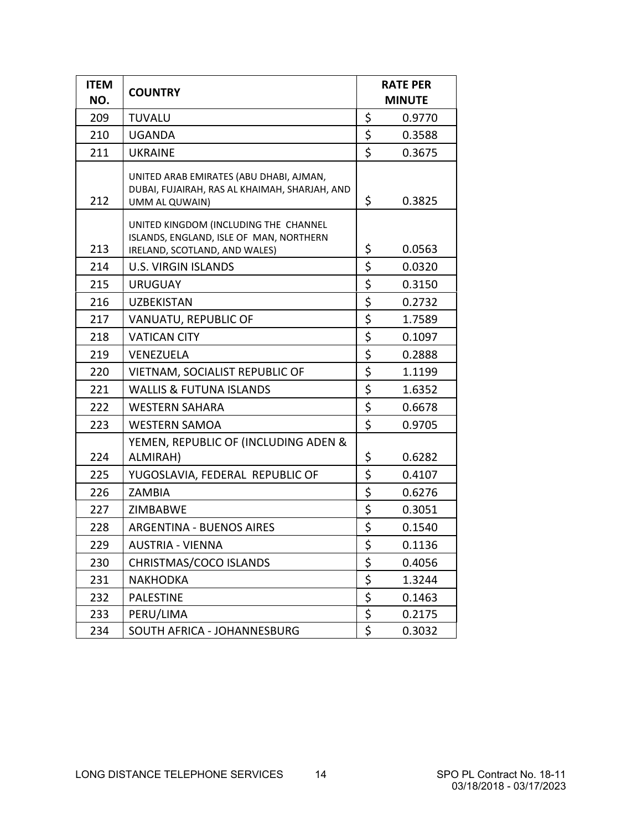| <b>ITEM</b><br>NO. | <b>COUNTRY</b>                                                                                                    | <b>RATE PER</b><br><b>MINUTE</b> |        |
|--------------------|-------------------------------------------------------------------------------------------------------------------|----------------------------------|--------|
| 209                | <b>TUVALU</b>                                                                                                     | \$                               | 0.9770 |
| 210                | <b>UGANDA</b>                                                                                                     | \$                               | 0.3588 |
| 211                | <b>UKRAINE</b>                                                                                                    | \$                               | 0.3675 |
| 212                | UNITED ARAB EMIRATES (ABU DHABI, AJMAN,<br>DUBAI, FUJAIRAH, RAS AL KHAIMAH, SHARJAH, AND<br>UMM AL QUWAIN)        | \$                               | 0.3825 |
| 213                | UNITED KINGDOM (INCLUDING THE CHANNEL<br>ISLANDS, ENGLAND, ISLE OF MAN, NORTHERN<br>IRELAND, SCOTLAND, AND WALES) | \$                               | 0.0563 |
| 214                | <b>U.S. VIRGIN ISLANDS</b>                                                                                        | \$                               | 0.0320 |
| 215                | <b>URUGUAY</b>                                                                                                    | \$                               | 0.3150 |
| 216                | <b>UZBEKISTAN</b>                                                                                                 | \$                               | 0.2732 |
| 217                | VANUATU, REPUBLIC OF                                                                                              | \$                               | 1.7589 |
| 218                | <b>VATICAN CITY</b>                                                                                               | \$                               | 0.1097 |
| 219                | VENEZUELA                                                                                                         | \$                               | 0.2888 |
| 220                | VIETNAM, SOCIALIST REPUBLIC OF                                                                                    | \$                               | 1.1199 |
| 221                | <b>WALLIS &amp; FUTUNA ISLANDS</b>                                                                                | \$                               | 1.6352 |
| 222                | <b>WESTERN SAHARA</b>                                                                                             | \$                               | 0.6678 |
| 223                | <b>WESTERN SAMOA</b>                                                                                              | \$                               | 0.9705 |
| 224                | YEMEN, REPUBLIC OF (INCLUDING ADEN &<br>ALMIRAH)                                                                  | \$                               | 0.6282 |
| 225                | YUGOSLAVIA, FEDERAL REPUBLIC OF                                                                                   | \$                               | 0.4107 |
| 226                | ZAMBIA                                                                                                            | \$                               | 0.6276 |
| 227                | ZIMBABWE                                                                                                          | \$                               | 0.3051 |
| 228                | <b>ARGENTINA - BUENOS AIRES</b>                                                                                   | \$                               | 0.1540 |
| 229                | <b>AUSTRIA - VIENNA</b>                                                                                           | \$                               | 0.1136 |
| 230                | CHRISTMAS/COCO ISLANDS                                                                                            | \$                               | 0.4056 |
| 231                | <b>NAKHODKA</b>                                                                                                   | \$                               | 1.3244 |
| 232                | <b>PALESTINE</b>                                                                                                  | \$                               | 0.1463 |
| 233                | PERU/LIMA                                                                                                         | \$                               | 0.2175 |
| 234                | SOUTH AFRICA - JOHANNESBURG                                                                                       | \$                               | 0.3032 |